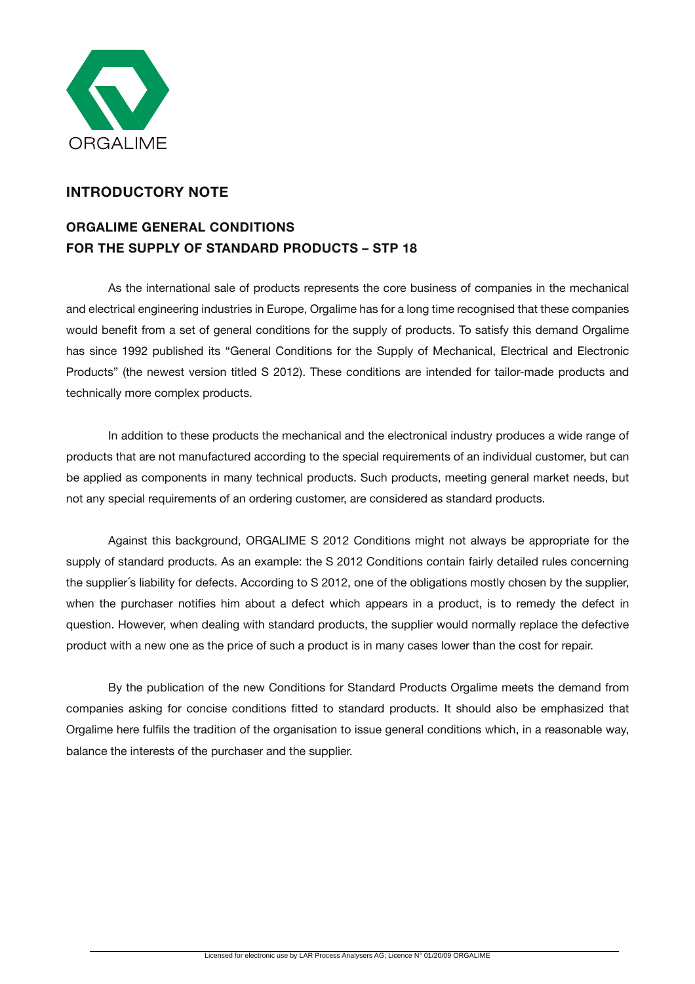

# **INTRODUCTORY NOTE**

# **ORGALIME GENERAL CONDITIONS FOR THE SUPPLY OF STANDARD PRODUCTS – STP 18**

As the international sale of products represents the core business of companies in the mechanical and electrical engineering industries in Europe, Orgalime has for a long time recognised that these companies would benefit from a set of general conditions for the supply of products. To satisfy this demand Orgalime has since 1992 published its "General Conditions for the Supply of Mechanical, Electrical and Electronic Products" (the newest version titled S 2012). These conditions are intended for tailor-made products and technically more complex products.

In addition to these products the mechanical and the electronical industry produces a wide range of products that are not manufactured according to the special requirements of an individual customer, but can be applied as components in many technical products. Such products, meeting general market needs, but not any special requirements of an ordering customer, are considered as standard products.

Against this background, ORGALIME S 2012 Conditions might not always be appropriate for the supply of standard products. As an example: the S 2012 Conditions contain fairly detailed rules concerning the supplier´s liability for defects. According to S 2012, one of the obligations mostly chosen by the supplier, when the purchaser notifies him about a defect which appears in a product, is to remedy the defect in question. However, when dealing with standard products, the supplier would normally replace the defective product with a new one as the price of such a product is in many cases lower than the cost for repair.

By the publication of the new Conditions for Standard Products Orgalime meets the demand from companies asking for concise conditions fitted to standard products. It should also be emphasized that Orgalime here fulfils the tradition of the organisation to issue general conditions which, in a reasonable way, balance the interests of the purchaser and the supplier.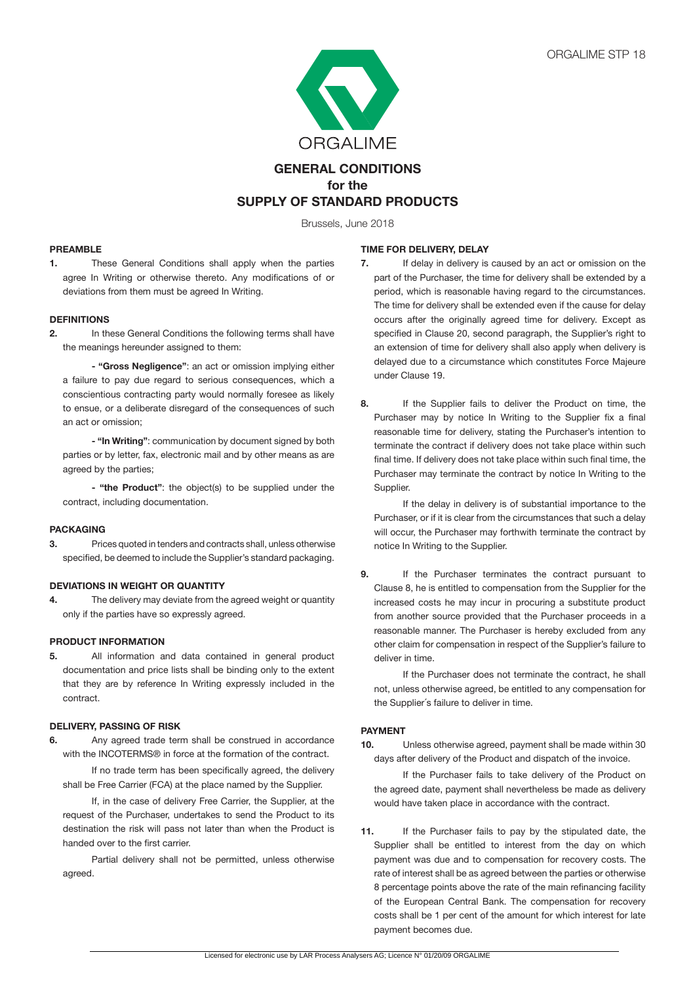

# **GENERAL CONDITIONS for the SUPPLY OF STANDARD PRODUCTS**

Brussels, June 2018

## **PREAMBLE**

**1.** These General Conditions shall apply when the parties agree In Writing or otherwise thereto. Any modifications of or deviations from them must be agreed In Writing.

#### **DEFINITIONS**

**2.** In these General Conditions the following terms shall have the meanings hereunder assigned to them:

 **- "Gross Negligence"**: an act or omission implying either a failure to pay due regard to serious consequences, which a conscientious contracting party would normally foresee as likely to ensue, or a deliberate disregard of the consequences of such an act or omission;

**- "In Writing"**: communication by document signed by both parties or by letter, fax, electronic mail and by other means as are agreed by the parties;

 **- "the Product"**: the object(s) to be supplied under the contract, including documentation.

## **PACKAGING**

**3.** Prices quoted in tenders and contracts shall, unless otherwise specified, be deemed to include the Supplier's standard packaging.

# **DEVIATIONS IN WEIGHT OR QUANTITY**

**4.** The delivery may deviate from the agreed weight or quantity only if the parties have so expressly agreed.

#### **PRODUCT INFORMATION**

**5.** All information and data contained in general product documentation and price lists shall be binding only to the extent that they are by reference In Writing expressly included in the contract.

# **DELIVERY, PASSING OF RISK**

**6.** Any agreed trade term shall be construed in accordance with the INCOTERMS® in force at the formation of the contract.

If no trade term has been specifically agreed, the delivery shall be Free Carrier (FCA) at the place named by the Supplier.

If, in the case of delivery Free Carrier, the Supplier, at the request of the Purchaser, undertakes to send the Product to its destination the risk will pass not later than when the Product is handed over to the first carrier.

 Partial delivery shall not be permitted, unless otherwise agreed.

#### **TIME FOR DELIVERY, DELAY**

- **7.** If delay in delivery is caused by an act or omission on the part of the Purchaser, the time for delivery shall be extended by a period, which is reasonable having regard to the circumstances. The time for delivery shall be extended even if the cause for delay occurs after the originally agreed time for delivery. Except as specified in Clause 20, second paragraph, the Supplier's right to an extension of time for delivery shall also apply when delivery is delayed due to a circumstance which constitutes Force Majeure under Clause 19.
- **8.** If the Supplier fails to deliver the Product on time, the Purchaser may by notice In Writing to the Supplier fix a final reasonable time for delivery, stating the Purchaser's intention to terminate the contract if delivery does not take place within such final time. If delivery does not take place within such final time, the Purchaser may terminate the contract by notice In Writing to the Supplier.

If the delay in delivery is of substantial importance to the Purchaser, or if it is clear from the circumstances that such a delay will occur, the Purchaser may forthwith terminate the contract by notice In Writing to the Supplier.

**9.** If the Purchaser terminates the contract pursuant to Clause 8, he is entitled to compensation from the Supplier for the increased costs he may incur in procuring a substitute product from another source provided that the Purchaser proceeds in a reasonable manner. The Purchaser is hereby excluded from any other claim for compensation in respect of the Supplier's failure to deliver in time.

If the Purchaser does not terminate the contract, he shall not, unless otherwise agreed, be entitled to any compensation for the Supplier´s failure to deliver in time.

#### **PAYMENT**

**10.** Unless otherwise agreed, payment shall be made within 30 days after delivery of the Product and dispatch of the invoice.

If the Purchaser fails to take delivery of the Product on the agreed date, payment shall nevertheless be made as delivery would have taken place in accordance with the contract.

**11.** If the Purchaser fails to pay by the stipulated date, the Supplier shall be entitled to interest from the day on which payment was due and to compensation for recovery costs. The rate of interest shall be as agreed between the parties or otherwise 8 percentage points above the rate of the main refinancing facility of the European Central Bank. The compensation for recovery costs shall be 1 per cent of the amount for which interest for late payment becomes due.